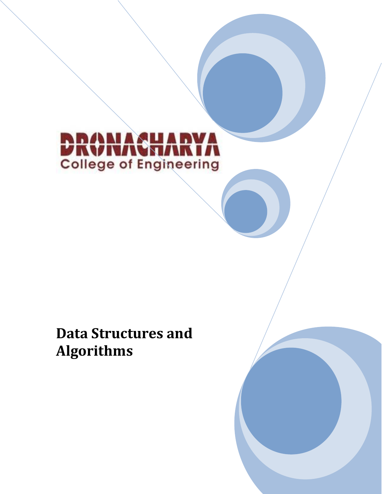

# **Data Structures and Algorithms**

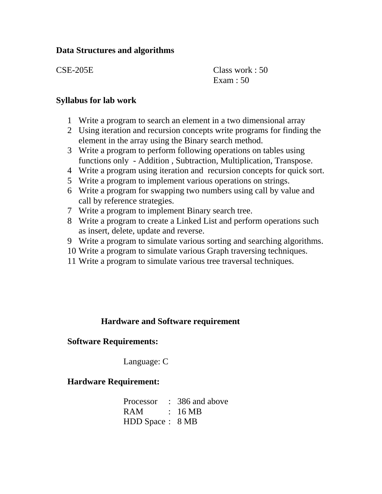# **Data Structures and algorithms**

CSE-205E Class work : 50 Exam : 50

# **Syllabus for lab work**

- 1 Write a program to search an element in a two dimensional array
- 2 Using iteration and recursion concepts write programs for finding the element in the array using the Binary search method.
- 3 Write a program to perform following operations on tables using functions only - Addition , Subtraction, Multiplication, Transpose.
- 4 Write a program using iteration and recursion concepts for quick sort.
- 5 Write a program to implement various operations on strings.
- 6 Write a program for swapping two numbers using call by value and call by reference strategies.
- 7 Write a program to implement Binary search tree.
- 8 Write a program to create a Linked List and perform operations such as insert, delete, update and reverse.
- 9 Write a program to simulate various sorting and searching algorithms.
- 10 Write a program to simulate various Graph traversing techniques.
- 11 Write a program to simulate various tree traversal techniques.

# **Hardware and Software requirement**

# **Software Requirements:**

Language: C

# **Hardware Requirement:**

|                  | Processor : 386 and above |
|------------------|---------------------------|
| RAM : 16 MB      |                           |
| HDD Space : 8 MB |                           |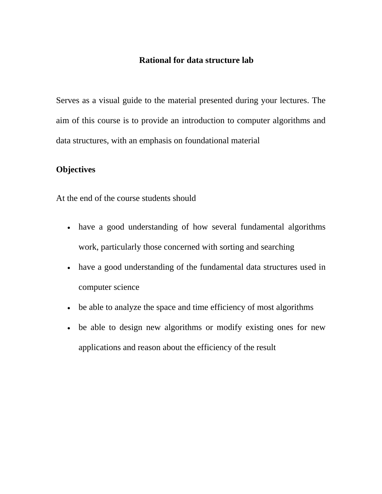#### **Rational for data structure lab**

Serves as a visual guide to the material presented during your lectures. The aim of this course is to provide an introduction to computer algorithms and data structures, with an emphasis on foundational material

# **Objectives**

At the end of the course students should

- have a good understanding of how several fundamental algorithms work, particularly those concerned with sorting and searching
- have a good understanding of the fundamental data structures used in computer science
- be able to analyze the space and time efficiency of most algorithms
- be able to design new algorithms or modify existing ones for new applications and reason about the efficiency of the result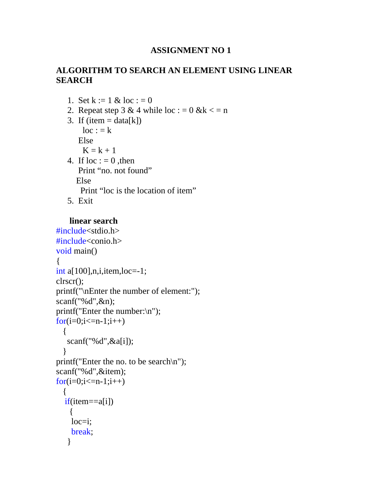# **ALGORITHM TO SEARCH AN ELEMENT USING LINEAR SEARCH**

- 1. Set  $k := 1 \& log : 0$
- 2. Repeat step  $3 \& 4$  while  $\text{loc} : 0 \& k \leq n$
- 3. If (item  $=$  data[k])  $loc := k$

Else

 $K = k + 1$ 

- 4. If  $loc := 0$ , then Print "no. not found" Else Print "loc is the location of item"
- 5. Exit

#### **linear search**

```
#include<stdio.h> 
#include<conio.h> 
void main() 
\{int a[100],n,i,item,loc=1;
clrscr(); 
printf("\nEnter the number of element:"); 
scanf("%d",&n); 
printf("Enter the number:\n"); 
for(i=0;i<=n-1;i++) { 
    scanf("%d",&a[i]); 
 } 
printf("Enter the no. to be search\n"); 
scanf("%d",&item); 
for(i=0;i<=n-1;i++) { 
  if(item==a[i])
     { 
     loc=i; 
     break; 
    }
```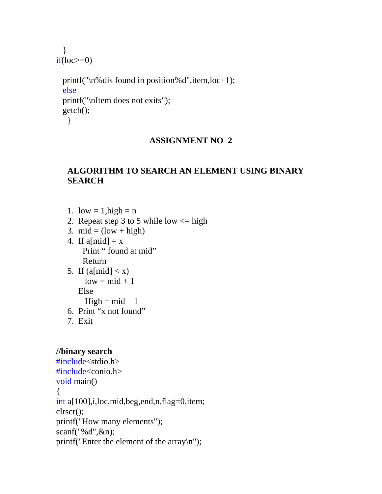}  $if(loc>=0)$ 

```
 printf("\n%dis found in position%d",item,loc+1); 
 else 
 printf("\nItem does not exits"); 
 getch(); 
  }
```
#### **ASSIGNMENT NO 2**

# **ALGORITHM TO SEARCH AN ELEMENT USING BINARY SEARCH**

- 1. low  $= 1$ , high  $= n$
- 2. Repeat step 3 to 5 while low  $\leq$  high
- 3.  $mid = (low + high)$
- 4. If  $a[\text{mid}] = x$ Print " found at mid" Return
- 5. If  $(a[\text{mid}] < x)$  $low = mid + 1$  Else  $High = mid - 1$
- 6. Print "x not found"
- 7. Exit

# **//binary search**

```
#include<stdio.h> 
#include<conio.h> 
void main() 
\{int a[100],i,loc,mid,beg,end,n,flag=0,item; 
clrscr(); 
printf("How many elements"); 
scanf("%d",&n); 
printf("Enter the element of the array\n");
```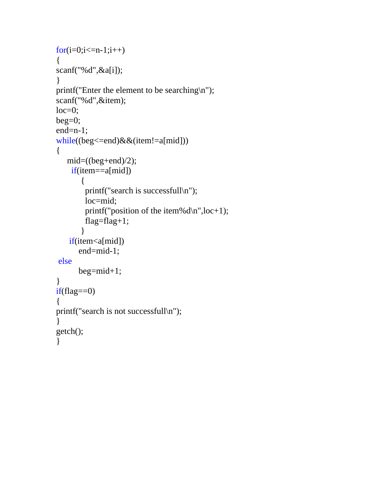```
for(i=0;i<=n-1;i++){
scanf("%d",&a[i]); 
} 
printf("Enter the element to be searching\n");
scanf("%d",&item); 
loc=0;beg=0;end=n-1; 
while((beg<=end)&&(item!=a[mid])) 
{ 
   mid=(\text{(beg+end})/2); if(item==a[mid]) 
        { 
         printf("search is successfull\n"); 
         loc=mid; 
         printf("position of the item%d\n",loc+1); 
        flag=flag+1; } 
   if(item<a[mid])
       end=mid-1; 
else 
       beg=mid+1; 
} 
if(flag==0)\{printf("search is not successfull\n"); 
} 
getch(); 
}
```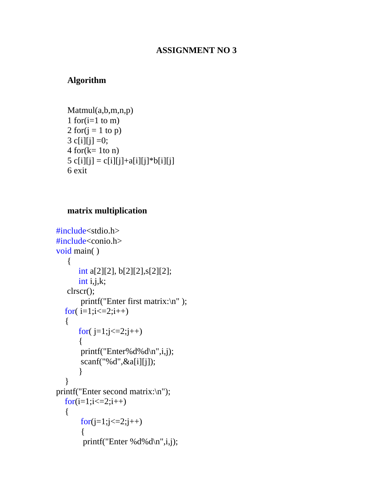# **Algorithm**

Matmul(a,b,m,n,p) 1 for $(i=1 \text{ to } m)$ 2 for $(i = 1$  to p) 3 c[i][j] = 0;  $4$  for( $k= 1$ to n) 5 c[i][j] = c[i][j] + a[i][j] \* b[i][j] 6 exit

### **matrix multiplication**

```
#include<stdio.h> 
#include<conio.h> 
void main( ) 
    { 
       int a[2][2], b[2][2],s[2][2]; 
       int i, j, k;
    clrscr(); 
         printf("Enter first matrix:\n" ); 
   for(i=1; i \le 2; i++) { 
       for(j=1; j<=2; j++) { 
        printf("Enter%d%d\n",i,j);
         scanf("%d",&a[i][j]); 
        } 
    } 
printf("Enter second matrix:\n"); 
  for(i=1; i<=2; i++) { 
        for (j=1; j<=2; j++) { 
         printf("Enter %d%d\n",i,j);
```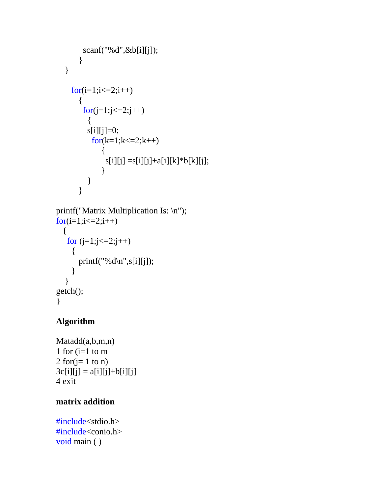```
 scanf("%d",&b[i][j]); 
        } 
    } 
     for (i=1; i<=2; i++) { 
        for (j=1; j<=2; j++) { 
          s[i][j]=0;for(k=1; k \leq 2; k++) { 
                s[i][j] = s[i][j] + a[i][k] * b[k][j]; } 
           } 
        } 
printf("Matrix Multiplication Is: \n");
for (i=1; i<=2; i++) { 
   for (j=1; j<=2; j++) { 
        printf("%d\n",s[i][j]); 
      } 
   } 
getch(); 
}
```
# **Algorithm**

Matadd(a,b,m,n) 1 for  $(i=1$  to m 2 for $(j=1 \text{ to } n)$  $3c[i][j] = a[i][j] + b[i][j]$ 4 exit

# **matrix addition**

#include<stdio.h> #include<conio.h> void main ( )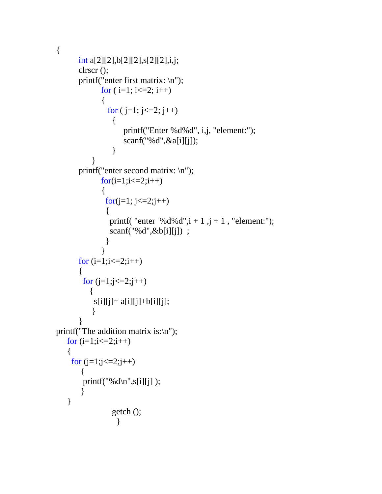{

```
int a[2][2],b[2][2],s[2][2],i,j; 
      clrscr (); 
      printf("enter first matrix: \n"); 
           for (i=1; i<=2; i++)\{for (j=1; j<=2; j++)\{ printf("Enter %d%d", i,j, "element:"); 
                  scanf("%d",&a[i][j]); 
 } 
 } 
      printf("enter second matrix: \n"); 
           for (i=1; i<=2; i++)\{for(j=1; j<=2;j++)\{printf( "enter %d%d",i + 1,j + 1, "element:");
               scanf("%d",&b[i][j]) ; 
 } 
 } 
     for (i=1; i<=2; i++) { 
       for (j=1;j<=2;j++)\left\{ \begin{array}{c} 1 \\ 1 \end{array} \right\}s[i][j] = a[i][j] + b[i][j]; } 
       } 
printf("The addition matrix is:\n"); 
  for (i=1; i<=2; i++) { 
   for (j=1;j<=2;j++)\{printf("%d\n",s[i][j]);
 } 
    } 
               getch (); 
    }
```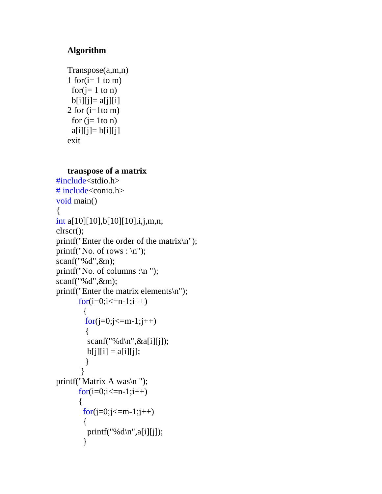# **Algorithm**

```
Transpose(a,m,n) 
1 for(i=1 \text{ to } m)for(i=1 \text{ to } n)b[i][j]=a[j][i]2 for (i=1to m)
 for (i= 1to n)
 a[i][j]= b[i][j]exit
```
#### **transpose of a matrix**

```
#include<stdio.h> 
# include<conio.h> 
void main() 
{ 
int a[10][10],b[10][10],i,j,m,n; 
clrscr(); 
printf("Enter the order of the matrix\n"); 
printf("No. of rows : \n\pi");
scanf("%d",&n); 
printf("No. of columns :\ln");
scanf("%d",&m); 
printf("Enter the matrix elements\n"); 
      for(i=0;i\le=n-1;i++)
         { 
        for(j=0;j<=m-1;j++)\{scanf("%d\n",\&a[i][j];b[j][i] = a[i][j]; } 
        } 
printf("Matrix A was\n "); 
      for(i=0;i\le=n-1;i++)
        { 
        for(j=0;j\leq m-1;j++) { 
         printf("%d\n",a[i][j]);
         }
```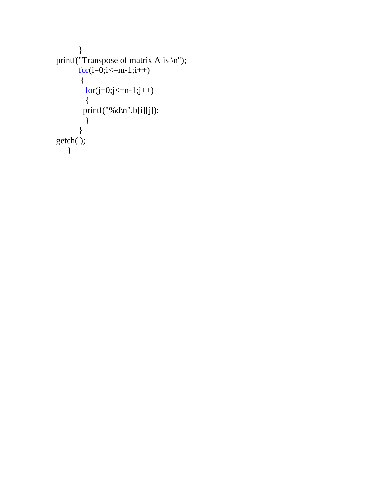```
 } 
printf("Transpose of matrix A is \langle n'' \rangle;
         for (i=0; i<=m-1; i++) { 
           \frac{1}{\text{for}(j=0;j\leq n-1;j++)} { 
          print("%d\nu",b[i][j]); } 
         } 
getch( ); 
    }
```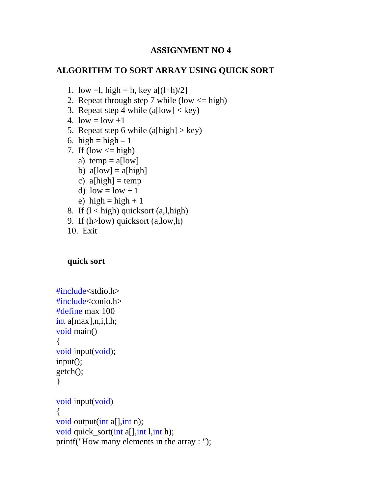# **ALGORITHM TO SORT ARRAY USING QUICK SORT**

- 1. low =1, high = h, key  $a[(1+h)/2]$
- 2. Repeat through step 7 while (low  $\leq$  high)
- 3. Repeat step 4 while  $(a[low] < key)$
- 4. low  $=$  low  $+1$
- 5. Repeat step 6 while  $(a[high] > key)$
- 6. high = high  $-1$
- 7. If (low  $\leq$  high)
	- a) temp =  $a[low]$
	- b)  $a[low] = a[high]$
	- c)  $a[high] = temp$
	- d) low =  $low + 1$
	- e) high = high + 1
- 8. If  $(l < high)$  quicksort  $(a, l, high)$
- 9. If (h>low) quicksort (a,low,h)
- 10. Exit

#### **quick sort**

```
#include<stdio.h> 
#include<conio.h> 
#define max 100 
int a[max],n,i,l,h; 
void main() 
\left\{ \right.void input(void); 
input(); 
getch(); 
} 
void input(void) 
{ 
void output(int a[], int n);
void quick_sort(int a[],int l,int h);
printf("How many elements in the array : ");
```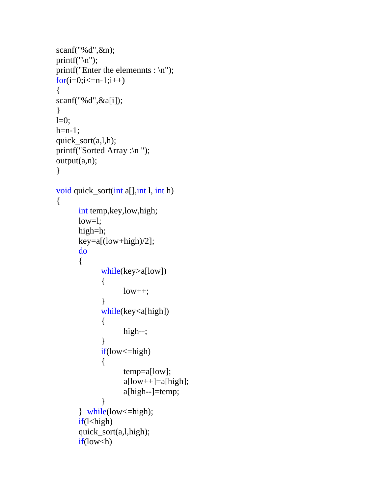```
scanf("%d",&n); 
printf("\ln");
printf("Enter the elemennts : \n");
for(i=0;i<=n-1;i++)\{scanf("%d",&a[i]); 
} 
l=0;
h=n-1;
quick_sort(a,l,h);
printf("Sorted Array :\n ");
output(a,n); 
} 
void quick_sort(int a[],int l, int h) 
{ 
      int temp,key,low,high; 
       low=l; 
       high=h; 
       key=a[(low+high)/2]; 
      do 
       { 
             while(key>a[low]) 
\{low++; } 
             while(key<a[high]) 
\{ high--; 
 } 
            if(low <= high)
\{ temp=a[low]; 
                   a[low++]=a[high]; 
                   a[high--]=temp; 
 } 
       } while(low<=high); 
      if(\leqhigh)
       quick_sort(a,l,high); 
      if(low < h)
```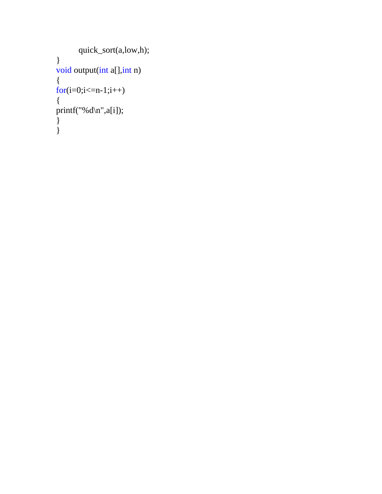```
 quick_sort(a,low,h); 
} 
void output(int a[], int n)
{ 
for (i=0; i<=n-1; i++){ 
printf("%d\n",a[i]);
} 
\left\{\right\}
```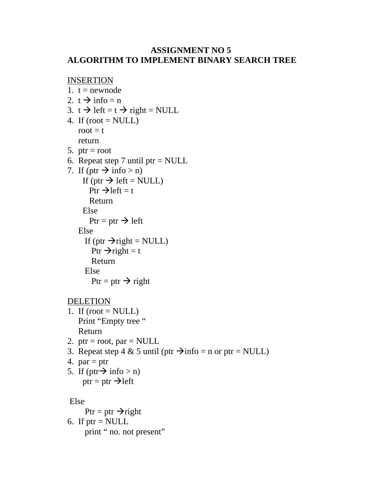# **ASSIGNMENT NO 5 ALGORITHM TO IMPLEMENT BINARY SEARCH TREE**

```
INSERTION
1. t = newnode
2. t \rightarrow \text{info} = n3. t \rightarrow left = t \rightarrow right = NULL
4. If (root = NULL)root = t return 
5. ptr = root
6. Repeat step 7 until ptr = NULL
7. If (ptr \rightarrow info > n)
     If (ptr \rightarrow left = NULL)
        Ptr \rightarrow left = t Return 
      Else 
        Ptr = ptr \rightarrow left Else 
      If (ptr \rightarrow right = NULL)
        Ptr \rightarrow right = t
          Return 
       Else 
         Ptr = ptr \rightarrow right
```
# DELETION

- 1. If  $(root = NULL)$ Print "Empty tree " Return
- 2. ptr = root, par = NULL
- 3. Repeat step 4 & 5 until (ptr  $\rightarrow$  info = n or ptr = NULL)
- 4.  $par = ptr$
- 5. If (ptr $\rightarrow$  info > n)  $ptr =ptr \rightarrow left$

```
 Else
```
Ptr = ptr  $\rightarrow$  right

6. If  $ptr = NULL$ print " no. not present"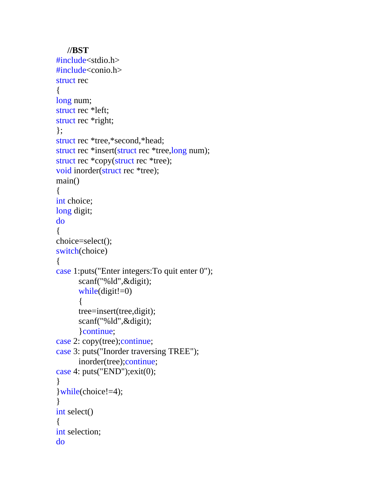```
//BST 
#include<stdio.h> 
#include<conio.h> 
struct rec 
\{long num;
struct rec *left; 
struct rec *right; 
}; 
struct rec *tree,*second,*head; 
struct rec *insert(struct rec *tree,long num); 
struct rec *copy(struct rec *tree); 
void inorder(struct rec *tree); 
main() 
{ 
int choice; 
long digit; 
do 
{ 
choice=select(); 
switch(choice) 
\left\{ \right.case 1:puts("Enter integers:To quit enter 0"); 
        scanf("%ld",&digit); 
       while(digit!=0)
        { 
        tree=insert(tree,digit); 
        scanf("%ld",&digit); 
        }continue; 
case 2: copy(tree); continue;
case 3: puts("Inorder traversing TREE"); 
        inorder(tree);continue; 
case 4: puts("END");exit(0); 
}
```

```
}while(choice!=4); 
} 
int select()
```
int selection;

{

do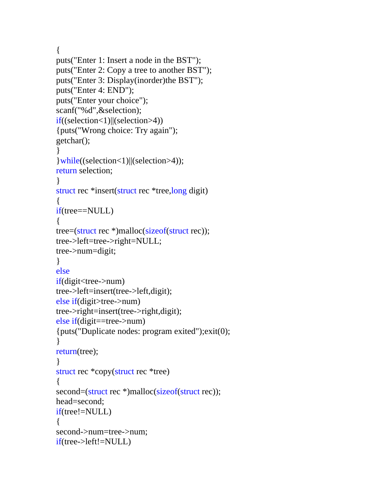{

```
puts("Enter 1: Insert a node in the BST"); 
puts("Enter 2: Copy a tree to another BST"); 
puts("Enter 3: Display(inorder)the BST"); 
puts("Enter 4: END"); 
puts("Enter your choice"); 
scanf("%d",&selection); 
if((selection<1)||(selection>4)) 
{puts("Wrong choice: Try again"); 
getchar(); 
} 
}while((selection<1)||(selection>4)); 
return selection; 
} 
struct rec *insert(struct rec *tree,long digit) 
\{if(tree==NULL) 
{ 
tree=(struct rec *)malloc(sizeof(struct rec)); 
tree->left=tree->right=NULL; 
tree->num=digit; 
} 
else 
if(digit<tree->num) 
tree->left=insert(tree->left,digit); 
else if(digit>tree->num) 
tree->right=insert(tree->right,digit); 
else if(digit==tree->num) 
{puts("Duplicate nodes: program exited");exit(0); 
} 
return(tree); 
} 
struct rec *copy(struct rec *tree) 
\{second=(struct rec *)malloc(sizeof(struct rec));
head=second; 
if(tree!=NULL) 
{ 
second->num=tree->num; 
if(tree->left!=NULL)
```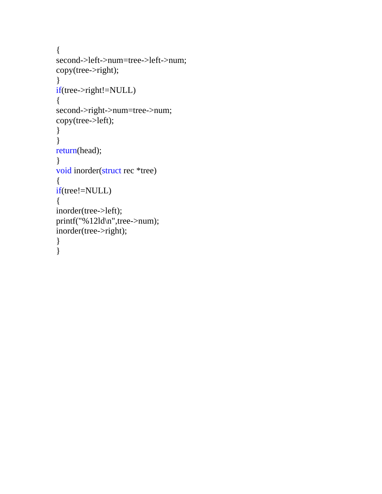```
{ 
second->left->num=tree->left->num; 
copy(tree->right); 
} 
if(tree->right!=NULL) 
{ 
second->right->num=tree->num; 
copy(tree->left); 
} 
} 
return(head); 
} 
void inorder(struct rec *tree) 
{ 
if(tree!=NULL) 
{ 
inorder(tree->left); 
printf("%12ld\n",tree->num); 
inorder(tree->right); 
} 
}
```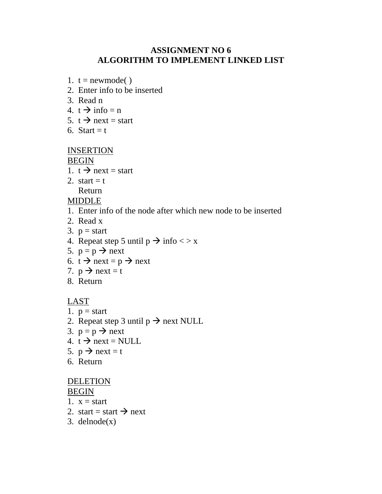# **ASSIGNMENT NO 6 ALGORITHM TO IMPLEMENT LINKED LIST**

- 1.  $t =$  newmode()
- 2. Enter info to be inserted
- 3. Read n
- 4.  $t \rightarrow \inf o = n$
- 5.  $t \rightarrow$  next = start
- 6. Start  $=$  t

# INSERTION

BEGIN

- 1.  $t \rightarrow$  next = start
- 2. start  $=$  t Return

MIDDLE

- 1. Enter info of the node after which new node to be inserted
- 2. Read x
- 3.  $p = start$
- 4. Repeat step 5 until  $p \rightarrow \text{info} \ll x$
- 5.  $p = p \rightarrow next$
- 6.  $t \rightarrow$  next = p  $\rightarrow$  next
- 7.  $p \rightarrow$  next = t
- 8. Return

# LAST

- 1.  $p = start$
- 2. Repeat step 3 until  $p \rightarrow$  next NULL
- 3.  $p = p \rightarrow next$
- 4.  $t \rightarrow$  next = NULL
- 5.  $p \rightarrow$  next = t
- 6. Return

# **DELETION**

BEGIN

- 1.  $x = start$
- 2. start = start  $\rightarrow$  next
- 3. delnode $(x)$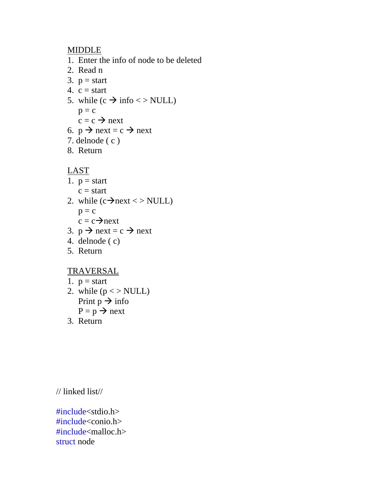# MIDDLE

- 1. Enter the info of node to be deleted
- 2. Read n
- 3.  $p = start$
- 4.  $c = start$
- 5. while  $(c \rightarrow \text{info} \ll \text{NULL})$  $p = c$  $c = c \rightarrow next$
- 6.  $p \rightarrow$  next = c  $\rightarrow$  next
- 7. delnode ( c )
- 8. Return

LAST

- 1.  $p = start$  $c = start$
- 2. while  $(c \rightarrow next \lt\gt NULL)$ 
	- $p = c$  $c = c \rightarrow$ next
- 3.  $p \rightarrow$  next = c  $\rightarrow$  next
- 4. delnode ( c)
- 5. Return

# TRAVERSAL

- 1.  $p = start$
- 2. while  $(p \lt p NULL)$ Print  $p \rightarrow \text{info}$  $P = p \rightarrow next$
- 3. Return

// linked list//

#include<stdio.h> #include<conio.h> #include<malloc.h> struct node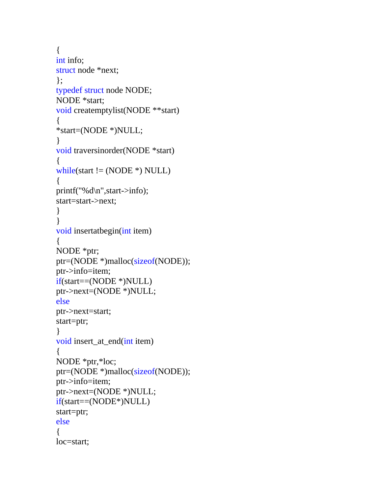```
{ 
int info; 
struct node *next; 
}; 
typedef struct node NODE; 
NODE *start; 
void createmptylist(NODE **start) 
{ 
*start=(NODE *)NULL; 
} 
void traversinorder(NODE *start) 
{ 
while(start != (NODE *) NULL)
{ 
printf("%d\n",start->info); 
start=start->next; 
} 
} 
void insertatbegin(int item) 
{ 
NODE *ptr; 
ptr=(NODE *)malloc(sizeof(NODE)); 
ptr->info=item; 
if(start==(NODE *)NULL) 
ptr->next=(NODE *)NULL; 
else 
ptr->next=start; 
start=ptr; 
} 
void insert_at_end(int item) 
\{NODE *ptr,*loc; 
ptr=(NODE *)malloc(sizeof(NODE)); 
ptr->info=item; 
ptr->next=(NODE *)NULL; 
if(start==(NODE*)NULL) 
start=ptr; 
else 
{ 
loc=start;
```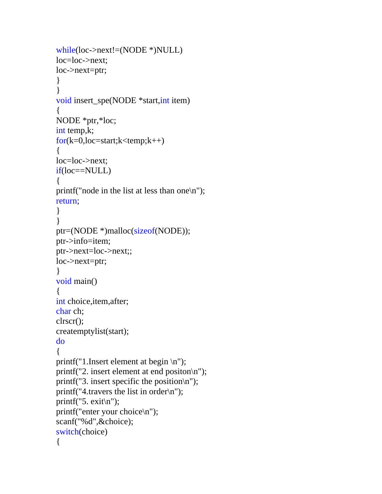```
while(loc->next!=(NODE *)NULL) 
loc=loc->next; 
loc->next=ptr; 
} 
} 
void insert_spe(NODE *start,int item) 
{ 
NODE *ptr,*loc; 
int temp,k; 
for(k=0, loc=start;k<temp;k++){ 
loc=loc->next; 
if(loc==NULL) 
\{printf("node in the list at less than one\n"); 
return; 
} 
} 
ptr=(NODE *)malloc(sizeof(NODE)); 
ptr->info=item; 
ptr->next=loc->next;; 
loc->next=ptr; 
} 
void main() 
{ 
int choice,item,after; 
char ch; 
clrscr(); 
createmptylist(start); 
do 
{ 
printf("1.Insert element at begin \n");
printf("2. insert element at end positon\n"); 
printf("3. insert specific the position\n"); 
printf("4.travers the list in order\ln");
printf("5. exit\n");
printf("enter your choice\n"); 
scanf("%d",&choice); 
switch(choice) 
{
```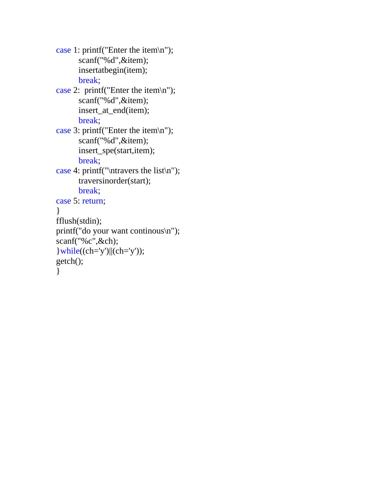```
case 1: printf("Enter the item\n"); 
        scanf("%d",&item); 
        insertatbegin(item); 
       break; 
case 2: printf("Enter the item\n");
        scanf("%d",&item); 
        insert_at_end(item); 
       break; 
case 3: printf("Enter the item\n"); 
        scanf("%d",&item); 
        insert_spe(start,item); 
       break; 
case 4: printf("\ntravers the list\n"); 
        traversinorder(start); 
       break; 
case 5: return; 
} 
fflush(stdin); 
printf("do your want continous\n"); 
scanf("%c",&ch); 
\vert \text{while}((\text{ch}='y') \vert \vert (\text{ch}='y'));
getch(); 
}
```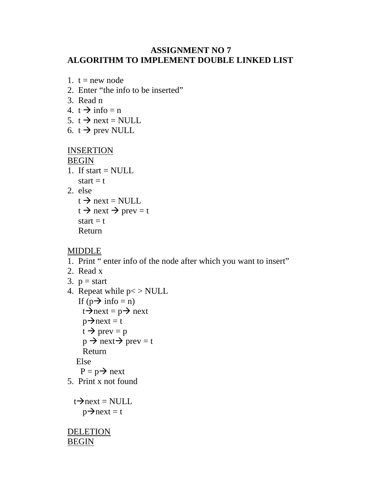# **ASSIGNMENT NO 7 ALGORITHM TO IMPLEMENT DOUBLE LINKED LIST**

```
1. t = new node
```
- 2. Enter "the info to be inserted"
- 3. Read n
- 4.  $t \rightarrow \inf o = n$
- 5.  $t \rightarrow$  next = NULL
- 6. t  $\rightarrow$  prev NULL

# INSERTION

BEGIN

- 1. If start  $=$  NULL start  $=$  t
- 2. else

```
t \rightarrow next = NULL
t \rightarrow next \rightarrow prev = t
start = t
 Return
```
# MIDDLE

- 1. Print " enter info of the node after which you want to insert"
- 2. Read x
- 3.  $p = start$
- 4. Repeat while  $p \lt p NULL$ If  $(p \rightarrow \text{info} = n)$  $t\rightarrow$ next = p $\rightarrow$  next  $p\rightarrow$ next = t  $t \rightarrow \text{prev} = p$  $p \rightarrow$  next $\rightarrow$  prev = t Return Else  $P = p \rightarrow next$
- 5. Print x not found

```
t\rightarrownext = NULL
   p\rightarrownext = t
```
DELETION BEGIN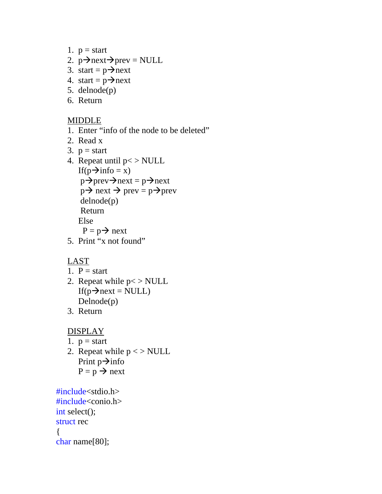- 1.  $p = start$
- 2.  $p\rightarrow$ next $\rightarrow$ prev = NULL
- 3. start =  $p \rightarrow$ next
- 4. start =  $p \rightarrow$ next
- 5. delnode(p)
- 6. Return

# MIDDLE

- 1. Enter "info of the node to be deleted"
- 2. Read x
- 3.  $p = start$
- 4. Repeat until  $p \lt p NULL$ If( $p\rightarrow$ info = x)  $p\rightarrow$ prev $\rightarrow$ next = p $\rightarrow$ next  $p \rightarrow$  next  $\rightarrow$  prev =  $p \rightarrow$ prev delnode(p) Return Else  $P = p \rightarrow next$ 5. Print "x not found"

# LAST

- 1.  $P = start$
- 2. Repeat while  $p \lt p NULL$ If( $p \rightarrow$ next = NULL) Delnode(p)
- 3. Return

# **DISPLAY**

- 1.  $p = start$
- 2. Repeat while  $p \ll >$  NULL Print  $p\rightarrow$ info  $P = p \rightarrow next$

#include<stdio.h> #include<conio.h> int select(); struct rec { char name[80];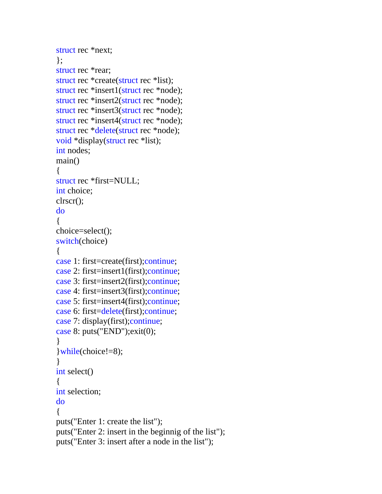```
struct rec *next; 
}; 
struct rec *rear; 
struct rec *create(struct rec *list);
struct rec *insert1(struct rec *node);
struct rec *insert2(struct rec *node);
struct rec *insert3(struct rec *node);
struct rec *insert4(struct rec *node); 
struct rec *delete(struct rec *node); 
void *display(struct rec *list); 
int nodes; 
main() 
{ 
struct rec *first=NULL; 
int choice; 
clrscr(); 
do 
{ 
choice=select(); 
switch(choice) 
{ 
case 1: first=create(first);continue; 
case 2: first=insert1(first);continue; 
case 3: first=insert2(first);continue; 
case 4: first=insert3(first);continue; 
case 5: first=insert4(first);continue; 
case 6: first=delete(first);continue; 
case 7: display(first);continue; 
case 8: puts("END");exit(0); 
} 
}while(choice!=8); 
} 
int select() 
{ 
int selection; 
do 
{ 
puts("Enter 1: create the list"); 
puts("Enter 2: insert in the beginnig of the list"); 
puts("Enter 3: insert after a node in the list");
```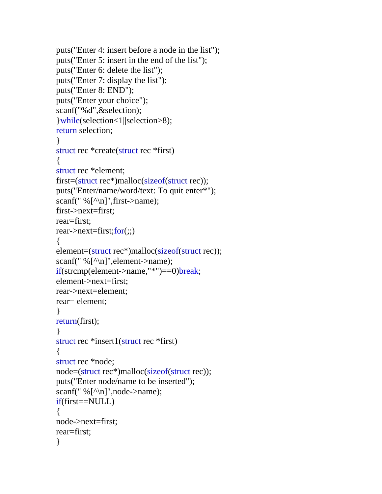```
puts("Enter 4: insert before a node in the list"); 
puts("Enter 5: insert in the end of the list"); 
puts("Enter 6: delete the list"); 
puts("Enter 7: display the list"); 
puts("Enter 8: END"); 
puts("Enter your choice"); 
scanf("%d",&selection); 
}while(selection<1||selection>8); 
return selection; 
} 
struct rec *create(struct rec *first) 
{ 
struct rec *element; 
first=(struct rec*)malloc(sizeof(struct rec)); 
puts("Enter/name/word/text: To quit enter*"); 
scanf(" %\lceil \wedge n \rceil", first->name);
first->next=first; 
rear=first; 
rear \rightarrow next = first; for(:,){ 
element=(struct rec*)malloc(sizeof(struct rec)); 
scanf(" %[^\n]",element->name); 
if(strcmp(element->name,"*")==0)break; 
element->next=first; 
rear->next=element; 
rear= element; 
} 
return(first); 
} 
struct rec *insert1(struct rec *first) 
\left\{ \right.struct rec *node; 
node=(struct rec*)malloc(sizeof(struct rec)); 
puts("Enter node/name to be inserted"); 
scanf(" %\lceil \wedge n \rceil",node->name);
if(first==NULL) 
{ 
node->next=first; 
rear=first; 
}
```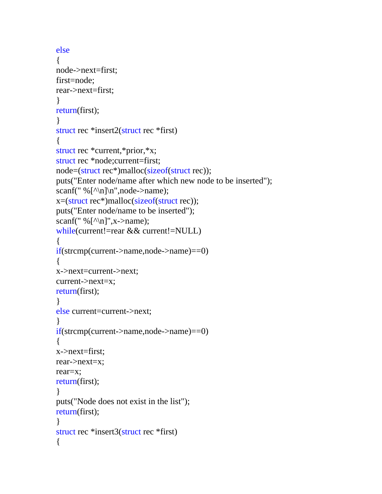```
else 
{ 
node->next=first; 
first=node; 
rear->next=first; 
} 
return(first); 
} 
struct rec *insert2(struct rec *first) 
\left\{ \right.struct rec *current,*prior,*x; 
struct rec *node;current=first; 
node=(struct rec*)malloc(sizeof(struct rec)); 
puts("Enter node/name after which new node to be inserted"); 
scanf(" %[\\\n]\n",node->name);
x=(struct rec*)malloc(sizeof(struct rec)); 
puts("Enter node/name to be inserted"); 
scanf(" %\lceil \wedge \ln \rceil",x->name);
while(current!=rear && current!=NULL) 
{ 
if(strcmp(current->name,node->name)==0) 
\left\{ \right.x->next=current->next; 
current->next=x; 
return(first); 
} 
else current=current->next; 
} 
if(strcmp(current->name,node->name)==0) 
{ 
x->next=first; 
rear->next=x; 
rear=x; 
return(first); 
} 
puts("Node does not exist in the list"); 
return(first); 
} 
struct rec *insert3(struct rec *first) 
{
```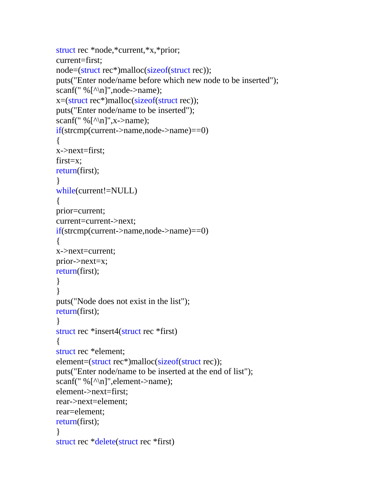```
struct rec *node,*current,*x,*prior; 
current=first; 
node=(struct rec*)malloc(sizeof(struct rec)); 
puts("Enter node/name before which new node to be inserted"); 
scanf(" %\lceil \wedge n \rceil",node->name);
x=(struct rec*)malloc(sizeof(struct rec)); 
puts("Enter node/name to be inserted"); 
scanf(" %\lceil \wedge \ln \rceil",x->name);
if(strcmp(current->name,node->name)==0) 
{ 
x->next=first; 
first=x; 
return(first); 
} 
while(current!=NULL) 
{ 
prior=current; 
current=current->next; 
if(strcmp(current->name,node->name)==0) 
{ 
x->next=current; 
prior->next=x; 
return(first); 
} 
} 
puts("Node does not exist in the list"); 
return(first); 
} 
struct rec *insert4(struct rec *first) 
{ 
struct rec *element; 
element=(struct rec*)malloc(sizeof(struct rec)); 
puts("Enter node/name to be inserted at the end of list"); 
scanf(" %[^\n]",element->name); 
element->next=first; 
rear->next=element; 
rear=element; 
return(first); 
} 
struct rec *delete(struct rec *first)
```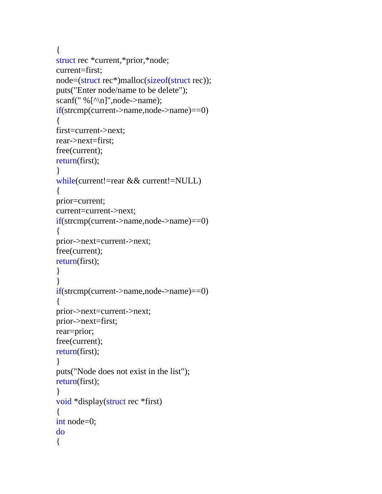```
{ 
struct rec *current,*prior,*node; 
current=first; 
node=(struct rec*)malloc(sizeof(struct rec)); 
puts("Enter node/name to be delete"); 
scanf(" %[^\n]",node->name);
if(strcmp(current->name,node->name)==0) 
{ 
first=current->next; 
rear->next=first; 
free(current); 
return(first); 
} 
while(current!=rear && current!=NULL) 
{ 
prior=current; 
current=current->next; 
if(strcmp(current->name,node->name)==0) 
\left\{ \right.prior->next=current->next; 
free(current); 
return(first); 
} 
} 
if(strcmp(current->name,node->name)==0) 
\{prior->next=current->next; 
prior->next=first; 
rear=prior; 
free(current); 
return(first); 
} 
puts("Node does not exist in the list"); 
return(first); 
} 
void *display(struct rec *first) 
{ 
int node=0; 
do 
{
```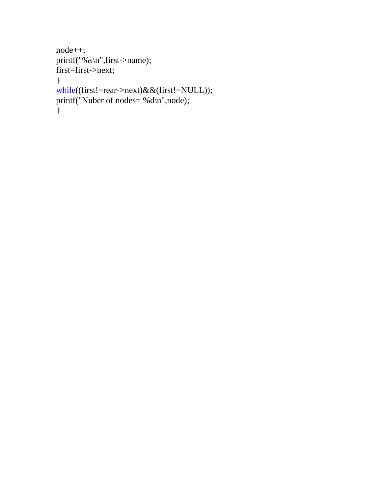```
node++; 
printf("%s\n",first->name); 
first=first->next; 
} 
while((first!=rear->next)&&(first!=NULL)); 
printf("Nuber of nodes= %d\n",node); 
}
```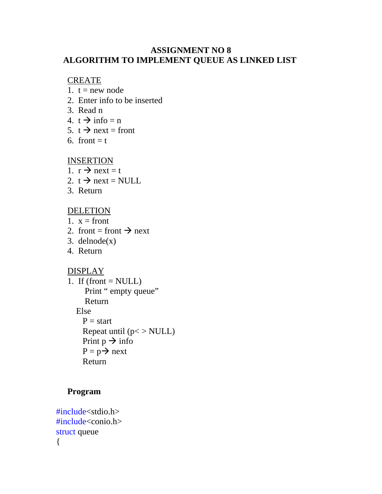# **ASSIGNMENT NO 8 ALGORITHM TO IMPLEMENT QUEUE AS LINKED LIST**

#### CREATE

- 1.  $t = new node$
- 2. Enter info to be inserted
- 3. Read n
- 4.  $t \rightarrow \inf o = n$
- 5.  $t \rightarrow$  next = front
- 6. front  $=$  t

# **INSERTION**

- 1.  $r \rightarrow$  next = t
- 2.  $t \rightarrow$  next = NULL
- 3. Return

# **DELETION**

- 1.  $x = front$
- 2. front = front  $\rightarrow$  next
- 3. delnode $(x)$
- 4. Return

# DISPLAY

1. If  $(fromt = NULL)$ Print " empty queue" Return Else  $P = start$ Repeat until  $(p \leq NULL)$ Print  $p \rightarrow \text{info}$  $P = p \rightarrow next$ Return

# **Program**

#include<stdio.h> #include<conio.h> struct queue {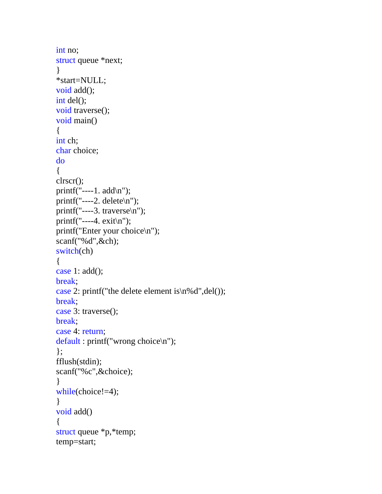```
int no; 
struct queue *next; 
} 
*start=NULL; 
void add(); 
int del();
void traverse(); 
void main() 
{ 
int ch; 
char choice; 
do 
{ 
clrscr(); 
printf("----1. add\n");
printf("----2. delete\n"); 
printf("----3. traverse\langle n" \rangle;
printf("----4. exit\n");
printf("Enter your choice\n"); 
scanf("%d",&ch); 
switch(ch) 
{ 
case 1: add(); 
break; 
case 2: printf("the delete element is\n%d",del());
break; 
case 3: traverse(); 
break; 
case 4: return; 
default : printf("wrong choice\n"); 
}; 
fflush(stdin); 
scanf("%c",&choice); 
} 
while(choice!=4);
} 
void add() 
{ 
struct queue *p,*temp; 
temp=start;
```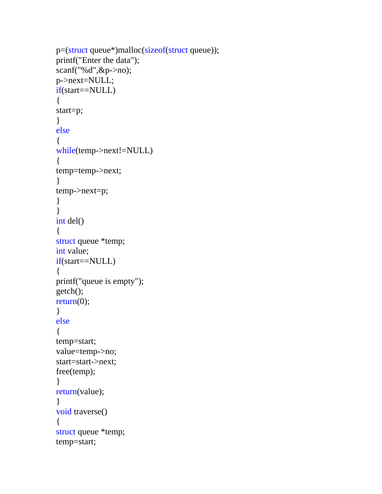```
p=(struct queue*)malloc(sizeof(struct queue)); 
printf("Enter the data"); 
scanf("%d",&p->no); 
p->next=NULL; 
if(start==NULL) 
{ 
start=p; 
} 
else 
{ 
while(temp->next!=NULL) 
{ 
temp=temp->next; 
} 
temp->next=p; 
} 
} 
int del() 
{ 
struct queue *temp; 
int value; 
if(start==NULL) 
{ 
printf("queue is empty"); 
getch(); 
return(0);
} 
else 
{ 
temp=start; 
value=temp->no; 
start=start->next; 
free(temp); 
} 
return(value); 
} 
void traverse() 
{ 
struct queue *temp; 
temp=start;
```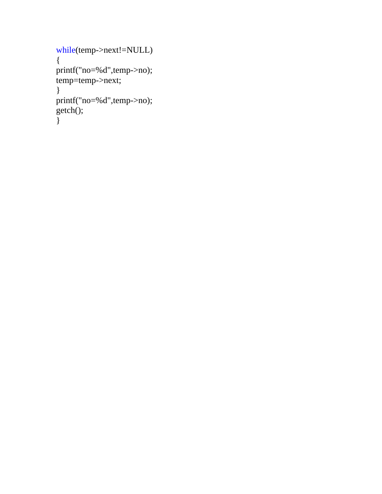```
while(temp->next!=NULL) 
{ 
printf("no=%d",temp->no); 
temp=temp->next; 
} 
printf("no=%d",temp->no); 
getch(); 
}
```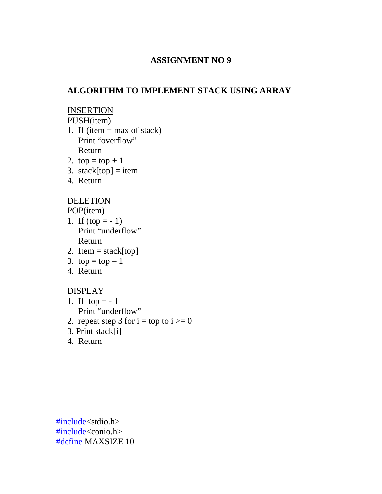# **ALGORITHM TO IMPLEMENT STACK USING ARRAY**

#### INSERTION

PUSH(item)

- 1. If (item  $=$  max of stack) Print "overflow" Return
- 2.  $top = top + 1$
- 3. stack[top] = item
- 4. Return

# DELETION

POP(item)

- 1. If  $(top = -1)$ Print "underflow" Return
- 2. Item  $=$  stack[top]
- 3.  $top = top 1$
- 4. Return

# DISPLAY

- 1. If  $top = -1$ Print "underflow"
- 2. repeat step 3 for  $i = top to i >= 0$
- 3. Print stack[i]
- 4. Return

#include<stdio.h> #include<conio.h> #define MAXSIZE 10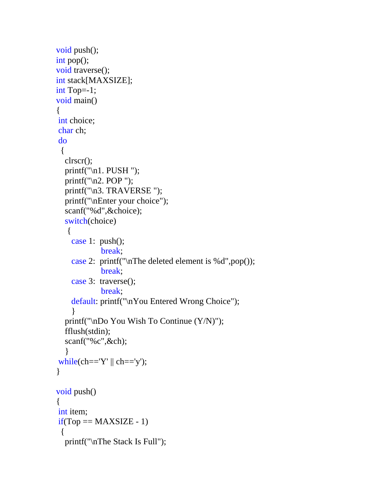```
void push(); 
int pop(); 
void traverse(); 
int stack[MAXSIZE]; 
int Top=-1; 
void main() 
{ 
int choice; 
char ch; 
do 
  { 
   clrscr(); 
  printf("\n1. PUSH");
   printf("\n2. POP "); 
  printf("\n3. TRAVERSE ");
   printf("\nEnter your choice"); 
   scanf("%d",&choice); 
   switch(choice) 
   \{ case 1: push(); 
              break; 
     case 2: printf("\nThe deleted element is %d",pop()); 
              break; 
     case 3: traverse(); 
              break; 
     default: printf("\nYou Entered Wrong Choice"); 
 } 
   printf("\nDo You Wish To Continue (Y/N)"); 
   fflush(stdin); 
   scanf("%c",&ch); 
 } 
while(ch=='Y' || ch=='y');
} 
void push() 
\left\{ \right.int item; 
if(Top == MAXSIZE - 1) { 
   printf("\nThe Stack Is Full");
```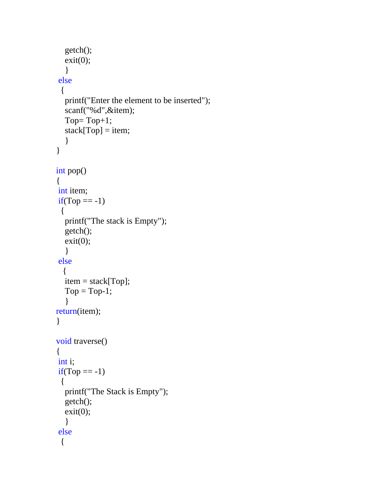```
 getch(); 
  exit(0); } 
else 
  { 
   printf("Enter the element to be inserted"); 
   scanf("%d",&item); 
  Top=Top+1;stack[Top] = item; } 
} 
int pop() 
\{int item; 
if(Top == -1) { 
   printf("The stack is Empty"); 
   getch(); 
  exit(0); } 
else 
   { 
   item = stack[Top]; 
  Top = Top-1; } 
return(item); 
} 
void traverse() 
\{int i; 
if(Top == -1) { 
   printf("The Stack is Empty"); 
   getch(); 
  exit(0); } 
else 
  {
```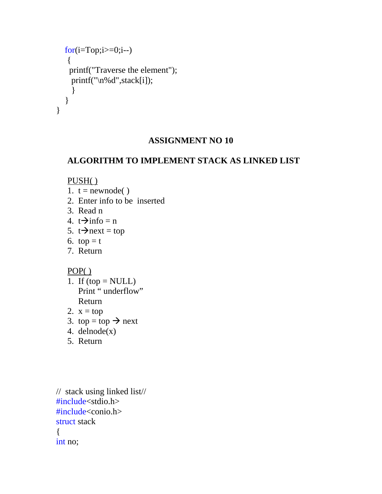```
for (i=Top;i>=0;i--)\{ printf("Traverse the element"); 
     printf("\n%d",stack[i]); 
     } 
   } 
}
```
# **ALGORITHM TO IMPLEMENT STACK AS LINKED LIST**

# PUSH( )

- 1.  $t = newnode()$
- 2. Enter info to be inserted
- 3. Read n
- 4.  $t\rightarrow$ info = n
- 5.  $t \rightarrow$ next = top
- 6.  $top = t$
- 7. Return

# POP( )

- 1. If  $(top = NULL)$ Print " underflow" Return
- 2.  $x = top$
- 3. top = top  $\rightarrow$  next
- 4. delnode(x)
- 5. Return

// stack using linked list// #include<stdio.h> #include<conio.h> struct stack { int no;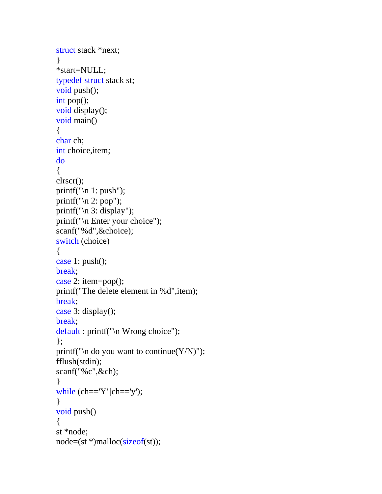```
struct stack *next; 
} 
*start=NULL; 
typedef struct stack st; 
void push(); 
int pop(); 
void display(); 
void main() 
{ 
char ch; 
int choice,item; 
do 
{ 
clrscr(); 
printf("\n 1: push"); 
printf("n 2: pop");
printf("\n 3: display"); 
printf("\n Enter your choice"); 
scanf("%d",&choice); 
switch (choice) 
{ 
case 1: push(); 
break; 
case 2: item=pop(); 
printf("The delete element in %d",item); 
break; 
case 3: display(); 
break; 
default : printf("\n Wrong choice"); 
}; 
printf("\n do you want to continue(Y/N)");
fflush(stdin); 
scanf("%c",&ch); 
} 
while (ch=='Y'||ch=='y');
} 
void push() 
{ 
st *node; 
node=(st *)malloc(sizeof(st));
```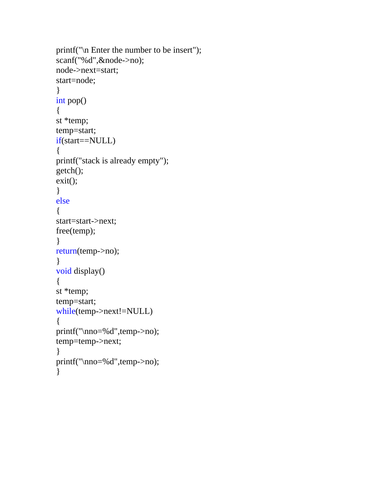```
printf("\n Enter the number to be insert"); 
scanf("%d",&node->no); 
node->next=start; 
start=node; 
} 
int pop() 
{ 
st *temp;
temp=start; 
if(start==NULL) 
{ 
printf("stack is already empty"); 
getch(); 
exit(); 
} 
else 
{ 
start=start->next; 
free(temp); 
} 
return(temp->no); 
} 
void display() 
{ 
st *temp;
temp=start; 
while(temp->next!=NULL) 
{ 
printf("\nno=%d",temp->no); 
temp=temp->next; 
} 
printf("\nno=%d",temp->no); 
}
```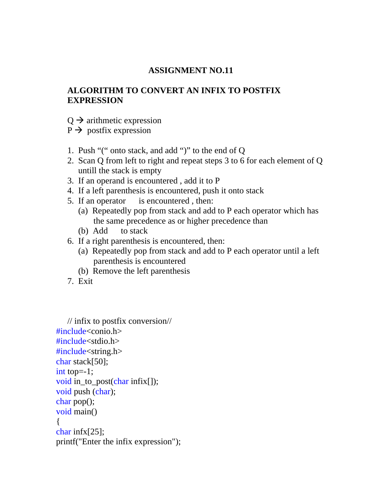# **ALGORITHM TO CONVERT AN INFIX TO POSTFIX EXPRESSION**

 $Q \rightarrow$  arithmetic expression

 $P \rightarrow$  postfix expression

- 1. Push "(" onto stack, and add ")" to the end of Q
- 2. Scan Q from left to right and repeat steps 3 to 6 for each element of Q untill the stack is empty
- 3. If an operand is encountered , add it to P
- 4. If a left parenthesis is encountered, push it onto stack
- 5. If an operator is encountered , then:
	- (a) Repeatedly pop from stack and add to P each operator which has the same precedence as or higher precedence than
	- (b) Add to stack
- 6. If a right parenthesis is encountered, then:
	- (a) Repeatedly pop from stack and add to P each operator until a left parenthesis is encountered
	- (b) Remove the left parenthesis
- 7. Exit

```
// infix to postfix conversion// 
\#include<conio.h>
#include<stdio.h> 
#include<string.h> 
char stack[50]; 
int top=-1;
void in_to_post(char infix[]); 
void push (char); 
char pop(); 
void main() 
{ 
char infx[25]; 
printf("Enter the infix expression");
```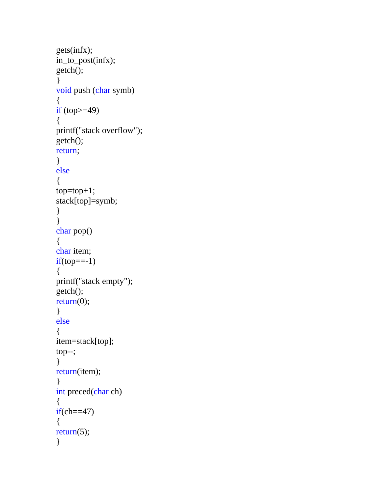```
gets(infx); 
in_to_post(infx); 
getch(); 
} 
void push (char symb) 
\{if top>=49{ 
printf("stack overflow"); 
getch(); 
return; 
} 
else 
{ 
top=top+1; 
stack[top]=symb; 
} 
} 
char pop() 
{ 
char item; 
if(top==1){ 
printf("stack empty"); 
getch(); 
return(0);
} 
else 
{ 
item=stack[top]; 
top--; 
} 
return(item); 
} 
int preced(char ch) 
{ 
if(ch==47){ 
return(5);
}
```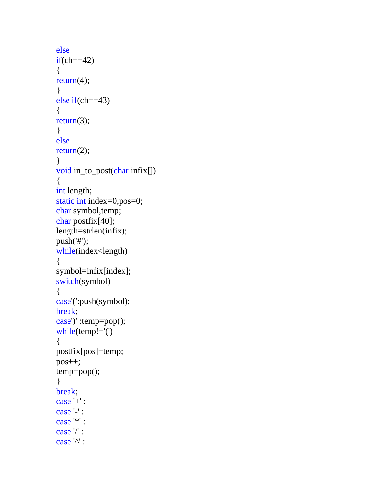```
else 
if(ch==42){ 
return(4); 
} 
else if(ch==43) 
{ 
return(3); 
} 
else 
return(2); 
} 
void in_to_post(char infix[]) 
{ 
int length; 
static int index=0,pos=0; 
char symbol, temp;
char postfix[40]; 
length=strlen(infix); 
push('#'); 
while(index<length) 
{ 
symbol=infix[index];
switch(symbol) 
{ 
case'(':push(symbol); 
break; 
case')' :temp=pop(); 
while(temp!='(') 
{ 
postfix[pos]=temp; 
pos++; 
temp=pop(); 
} 
break; 
case '+' : 
case '-' : 
case '*' : 
case '/' : 
case '^' :
```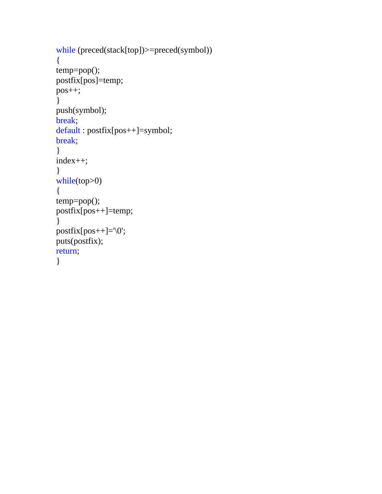```
while (preced(stack[top])>=preced(symbol)) 
{ 
temp=pop(); 
postfix[pos]=temp; 
pos++; 
} 
push(symbol); 
break; 
default : postfix[pos++]=symbol; 
break; 
} 
index++; 
} 
while(top>0) 
{ 
temp=pop(); 
postfix[pos++]=temp; 
} 
postfix[pos++]='\0'; 
puts(postfix); 
return; 
}
```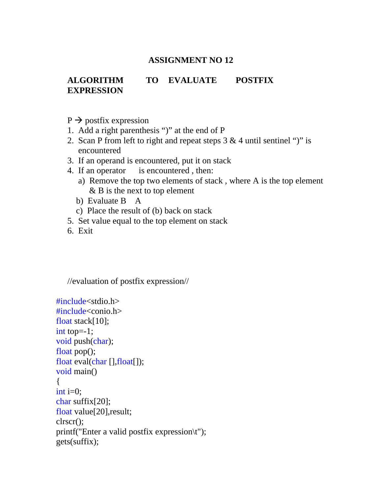# **ALGORITHM TO EVALUATE POSTFIX EXPRESSION**

- $P \rightarrow$  postfix expression
- 1. Add a right parenthesis ")" at the end of P
- 2. Scan P from left to right and repeat steps  $3 \& 4$  until sentinel ")" is encountered
- 3. If an operand is encountered, put it on stack
- 4. If an operator is encountered , then:
	- a) Remove the top two elements of stack , where A is the top element & B is the next to top element
	- b) Evaluate B A
	- c) Place the result of (b) back on stack
- 5. Set value equal to the top element on stack
- 6. Exit

```
//evaluation of postfix expression//
```

```
\#include\ltstdio.h>#include<conio.h> 
float stack[10]; 
int top=-1;
void push(char); 
float pop();
float eval(char [],float[]); 
void main() 
{ 
int i=0;
char suffix[20];
float value[20],result; 
clrscr(); 
printf("Enter a valid postfix expression\t"); 
gets(suffix);
```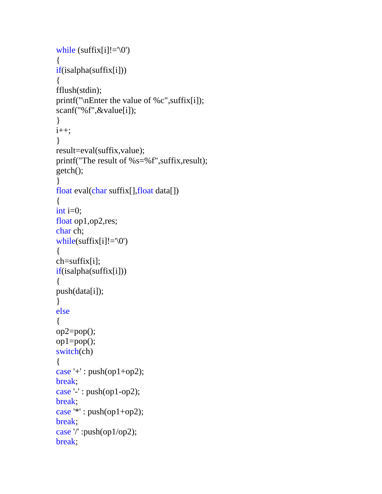```
while (sufficient[i]!=\0'){ 
if(isalpha(suffix[i])) 
\left\{ \right.fflush(stdin); 
printf("\nEnter the value of %c",suffix[i]); 
scanf("%f",&value[i]); 
} 
i++;
} 
result=eval(suffix,value); 
printf("The result of %s=%f",suffix,result); 
getch(); 
} 
float eval(char suffix[],float data[]) 
{ 
int i=0;
float op1,op2,res; 
char ch; 
while(suffix[i]!=\langle 0' \rangle{ 
ch=suffix[i]; 
if(isalpha(suffix[i])) 
{ 
push(data[i]); 
} 
else 
{ 
op2=pop(); 
op1=pop(); 
switch(ch) 
{ 
case '+' : push(op1+op2);
break; 
case '-' : push(op1-op2); 
break; 
case '*': push(op1+op2);break; 
case '/' :push(op1/op2); 
break;
```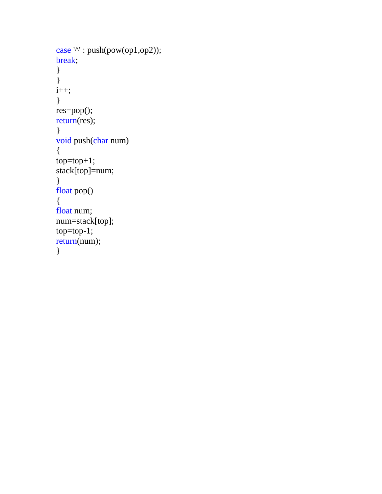```
case '^' : push(pow(op1,op2));
break; 
} 
} 
i++; 
} 
res=pop(); 
return(res); 
} 
void push(char num) 
{ 
top = top + 1;stack[top]=num; 
} 
float pop() 
{ 
float num; 
num=stack[top]; 
top=top-1; 
return(num); 
}
```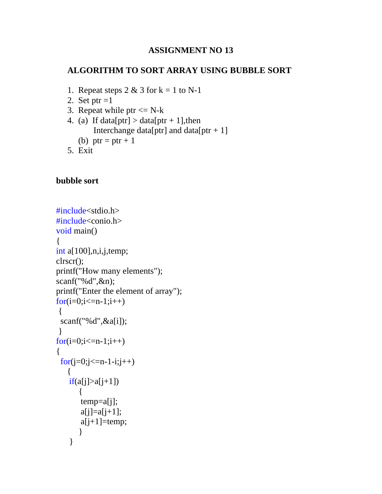# **ALGORITHM TO SORT ARRAY USING BUBBLE SORT**

- 1. Repeat steps  $2 \& 3$  for  $k = 1$  to N-1
- 2. Set ptr  $=1$
- 3. Repeat while ptr  $\leq N-k$
- 4. (a) If data[ptr] > data[ptr + 1], then
	- Interchange data[ptr] and data[ptr + 1]
	- (b) ptr = ptr + 1
- 5. Exit

#### **bubble sort**

```
#include<stdio.h> 
#include<conio.h> 
void main() 
{ 
int a[100],n,i,j,temp;
clrscr(); 
printf("How many elements"); 
scanf("%d",&n); 
printf("Enter the element of array"); 
for(i=0;i\le=n-1;i++)
 \left\{ \right. scanf("%d",&a[i]); 
  } 
for(i=0;i\le=n-1;i++)
\{for(j=0;j <= n-1-i;j + +)
    { 
    if(a[j]>a[j+1])\{ temp=a[j]; 
        a[i]=a[i+1];a[i+1]=temp; } 
     }
```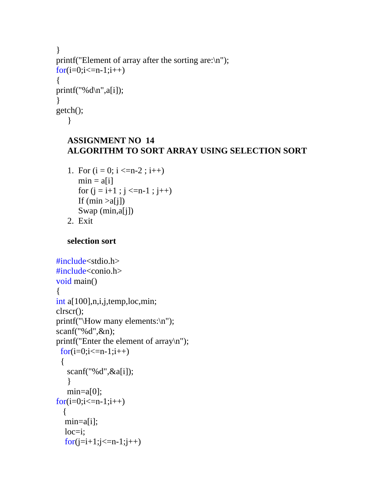```
} 
printf("Element of array after the sorting are:\n");
for(i=0;i<=n-1;i++)\{printf("%d\n",a[i]);
} 
getch(); 
   }
```
# **ASSIGNMENT NO 14 ALGORITHM TO SORT ARRAY USING SELECTION SORT**

- 1. For  $(i = 0; i < = n-2; i++)$  $min = a[i]$ for  $(j = i+1; j \leq n-1; j++)$ If  $(min >a[i])$ Swap (min,a[j])
- 2. Exit

**selection sort** 

```
#include<stdio.h> 
#include<conio.h> 
void main() 
{ 
int a[100],n,i,j,temp,loc,min; 
clrscr(); 
printf("\How many elements:\n"); 
scanf("%d",&n); 
printf("Enter the element of array\n"); 
 for(i=0;i<=n-1;i++) { 
    scanf("%d",&a[i]); 
    } 
   min=a[0];
for(i=0;i<=n-1;i++) { 
   min=a[i]; 
  loc=i;
  for (j=i+1; j<=n-1; j++)
```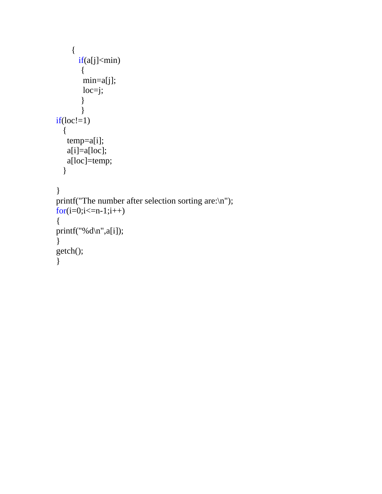```
 { 
       if(a[j]<min) { 
         min=a[j]; 
         loc=j; 
         } 
         } 
if(loc!=1) { 
    temp=a[i]; 
   a[i]=a[loc];
    a[loc]=temp; 
   } 
} 
printf("The number after selection sorting are:\n"); 
for(i=0;i<=n-1;i++){ 
printf("%d\n",a[i]);
} 
getch(); 
}
```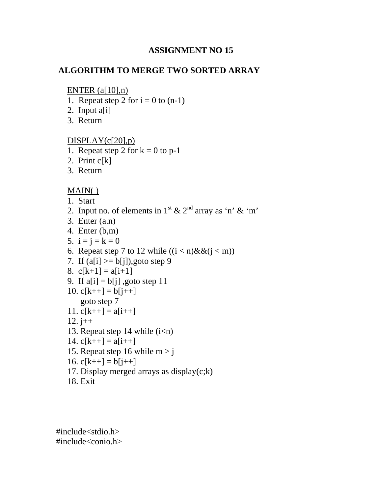# **ALGORITHM TO MERGE TWO SORTED ARRAY**

#### ENTER  $(a[10],n)$

- 1. Repeat step 2 for  $i = 0$  to  $(n-1)$
- 2. Input  $a[i]$
- 3. Return

# $DISPLAY(c[20], p)$

- 1. Repeat step 2 for  $k = 0$  to p-1
- 2. Print c[k]
- 3. Return

# MAIN( )

- 1. Start
- 2. Input no. of elements in  $1<sup>st</sup> \& 2<sup>nd</sup>$  array as 'n' & 'm'
- 3. Enter (a.n)
- 4. Enter (b,m)
- 5.  $i = j = k = 0$
- 6. Repeat step 7 to 12 while  $((i < n) \& \& (i < m))$
- 7. If  $(a[i] \ge b[i])$ , goto step 9
- 8.  $c[k+1] = a[i+1]$
- 9. If  $a[i] = b[i]$ , goto step 11
- 10.  $c[k+1] = b[i+1]$ goto step 7
- 11.  $c[k++] = a[i++]$
- 12.  $j++$
- 13. Repeat step 14 while  $(i\leq n)$
- 14.  $c[k++] = a[i++]$
- 15. Repeat step 16 while  $m > j$
- 16.  $c[k++] = b[j++]$
- 17. Display merged arrays as display $(c; k)$
- 18. Exit

#include<stdio.h> #include<conio.h>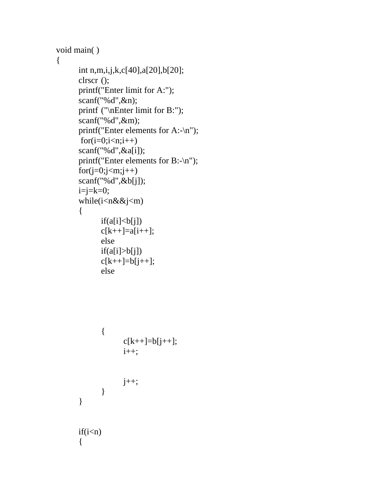```
void main( )
```
# $\{$

```
int n,m,i,j,k,c[40],a[20],b[20]; 
clrscr (); 
printf("Enter limit for A:"); 
scanf("%d",&n); 
printf ("\nEnter limit for B:"); 
scanf("%d",&m); 
printf("Enter elements for A:-\n"); 
for(i=0;i< n;i++)scanf("%d", \&a[i]); printf("Enter elements for B:-\n"); 
for(j=0;j<m;j++)scanf("%d",&b[j]); 
i=j=k=0;while(i<n&&j<m) 
 { 
      if(a[i] < b[j])c[k++]=a[i++];else 
      if(a[i] > b[j])c[k++]=b[j++];else 
      { 
             c[k++]=b[j++];i++;j++; 
      } 
} 
if(i < n){
```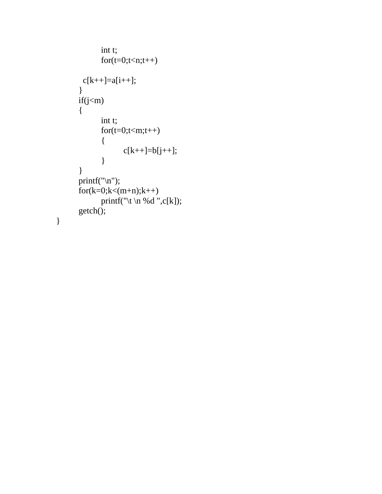```
int t; 
      for(t=0;t< n;t++)c[k++]=a[i++];} 
if(j < m){ 
      int t; 
      for(t=0;t<m;t++){ 
             c[k++]=b[j++];} 
} 
printf("\n"); 
for(k=0;k<(m+n);k++)printf("\t \n %d ",c[k]);
getch();
```
}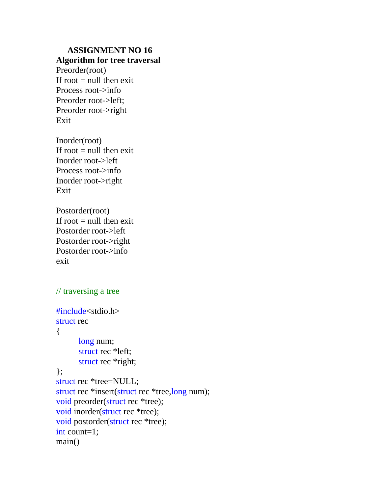#### **Algorithm for tree traversal**

Preorder(root) If root  $=$  null then exit Process root->info Preorder root->left; Preorder root->right Exit

Inorder(root) If root  $=$  null then exit Inorder root->left Process root->info Inorder root->right Exit

Postorder(root) If root  $=$  null then exit Postorder root->left Postorder root->right Postorder root->info exit

# // traversing a tree

```
#include<stdio.h> 
struct rec 
{ 
       long num; 
       struct rec *left; 
       struct rec *right; 
}; 
struct rec *tree=NULL; 
struct rec *insert(struct rec *tree,long num); 
void preorder(struct rec *tree); 
void inorder(struct rec *tree); 
void postorder(struct rec *tree); 
int count=1; 
main()
```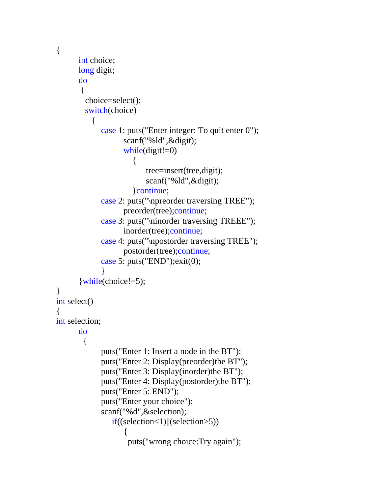```
{ 
      int choice; 
      long digit; 
      do 
\{ choice=select(); 
         switch(choice) 
\left\{\begin{array}{ccc} \end{array}\right\} case 1: puts("Enter integer: To quit enter 0"); 
                     scanf("%ld",&digit); 
                    while(digit!=0)
\{ tree=insert(tree,digit); 
                           scanf("%ld",&digit); 
                        }continue; 
              case 2: puts("\npreorder traversing TREE"); 
                     preorder(tree);continue; 
              case 3: puts("\ninorder traversing TREEE"); 
                     inorder(tree);continue; 
              case 4: puts("\npostorder traversing TREE"); 
                     postorder(tree);continue; 
              case 5: puts("END");exit(0); 
 } 
       }while(choice!=5); 
} 
int select() 
{ 
int selection; 
      do 
         { 
              puts("Enter 1: Insert a node in the BT"); 
              puts("Enter 2: Display(preorder)the BT"); 
              puts("Enter 3: Display(inorder)the BT"); 
              puts("Enter 4: Display(postorder)the BT"); 
              puts("Enter 5: END"); 
              puts("Enter your choice"); 
              scanf("%d",&selection); 
                 if((selection<1)||(selection>5)) 
\{ puts("wrong choice:Try again");
```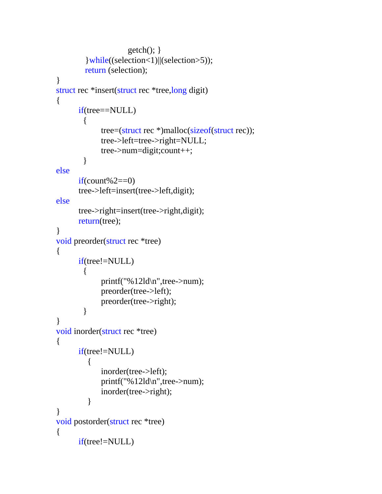```
 getch(); } 
          }while((selection<1)||(selection>5)); 
         return (selection); 
} 
struct rec *insert(struct rec *tree,long digit) 
\left\{ \right.if(tree==NULL) 
\{ tree=(struct rec *)malloc(sizeof(struct rec)); 
               tree->left=tree->right=NULL; 
               tree->num=digit;count++; 
         } 
else 
      if(count%2==0)
       tree->left=insert(tree->left,digit); 
else 
       tree->right=insert(tree->right,digit); 
      return(tree); 
} 
void preorder(struct rec *tree) 
{ 
      if(tree!=NULL) 
\{ printf("%12ld\n",tree->num); 
               preorder(tree->left); 
               preorder(tree->right); 
         } 
} 
void inorder(struct rec *tree) 
\{if(tree!=NULL) 
           { 
               inorder(tree->left); 
               printf("%12ld\n",tree->num); 
               inorder(tree->right); 
           } 
} 
void postorder(struct rec *tree) 
{ 
      if(tree!=NULL)
```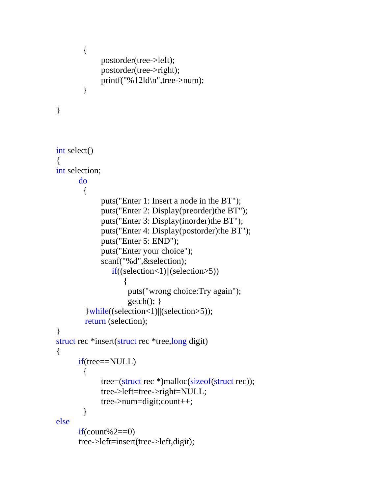```
 { 
              postorder(tree->left); 
              postorder(tree->right); 
              printf("%12ld\n",tree->num); 
         } 
} 
int select() 
{ 
int selection; 
      do 
         { 
              puts("Enter 1: Insert a node in the BT"); 
              puts("Enter 2: Display(preorder)the BT"); 
              puts("Enter 3: Display(inorder)the BT"); 
              puts("Enter 4: Display(postorder)the BT"); 
              puts("Enter 5: END"); 
              puts("Enter your choice"); 
              scanf("%d",&selection); 
                  if((selection<1)||(selection>5)) 
\{ puts("wrong choice:Try again"); 
                     getch(); }
          }while((selection<1)||(selection>5)); 
         return (selection); 
} 
struct rec *insert(struct rec *tree,long digit) 
{ 
      if(tree==NULL) 
        \{ tree=(struct rec *)malloc(sizeof(struct rec)); 
              tree->left=tree->right=NULL; 
              tree->num=digit;count++; 
         } 
else 
      if(count%2==0)
       tree->left=insert(tree->left,digit);
```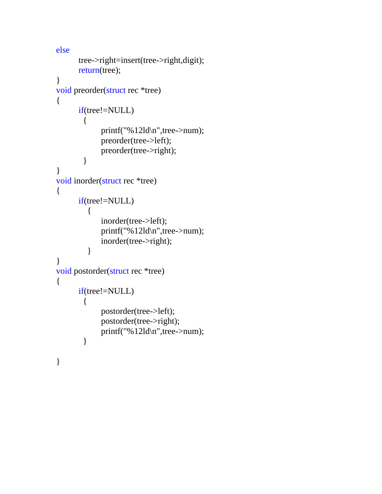```
else 
       tree->right=insert(tree->right,digit); 
      return(tree); 
} 
void preorder(struct rec *tree) 
{ 
      if(tree!=NULL) 
\{ printf("%12ld\n",tree->num); 
               preorder(tree->left); 
               preorder(tree->right); 
         } 
} 
void inorder(struct rec *tree) 
{ 
      if(tree!=NULL) 
           { 
               inorder(tree->left); 
               printf("%12ld\n",tree->num); 
               inorder(tree->right); 
           } 
} 
void postorder(struct rec *tree) 
{ 
      if(tree!=NULL) 
         { 
               postorder(tree->left); 
               postorder(tree->right); 
               printf("%12ld\n",tree->num); 
         } 
}
```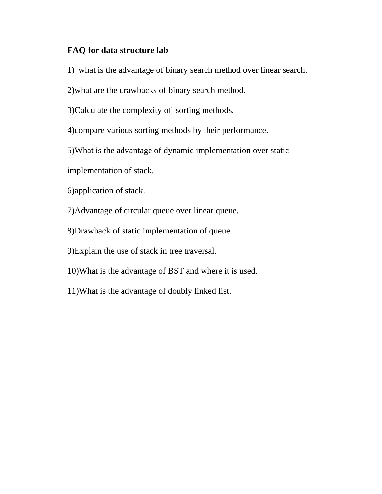#### **FAQ for data structure lab**

- 1) what is the advantage of binary search method over linear search.
- 2)what are the drawbacks of binary search method.
- 3)Calculate the complexity of sorting methods.
- 4)compare various sorting methods by their performance.
- 5)What is the advantage of dynamic implementation over static
- implementation of stack.
- 6)application of stack.
- 7)Advantage of circular queue over linear queue.
- 8)Drawback of static implementation of queue
- 9)Explain the use of stack in tree traversal.
- 10)What is the advantage of BST and where it is used.
- 11)What is the advantage of doubly linked list.